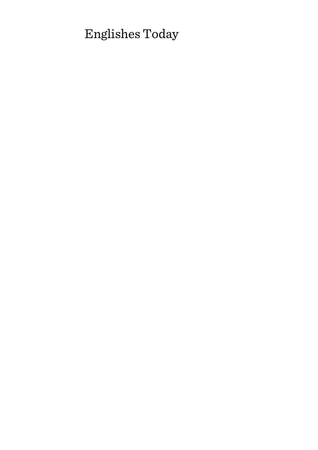# Englishes Today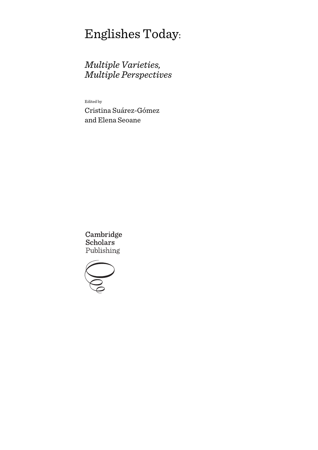# Englishes Today:

# *Multiple Varieties, Multiple Perspectives*

Edited by

Cristina Suárez-Gómez and Elena Seoane

Cambridge **Scholars** Publishing

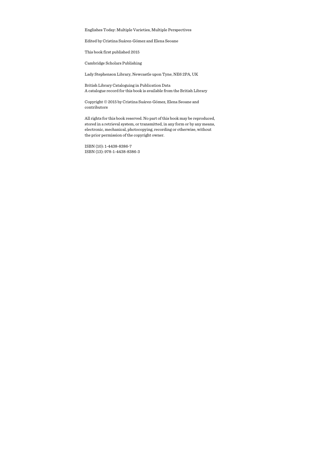Englishes Today: Multiple Varieties, Multiple Perspectives

Edited by Cristina Suárez-Gómez and Elena Seoane

This book first published 2015

Cambridge Scholars Publishing

Lady Stephenson Library, Newcastle upon Tyne, NE6 2PA, UK

British Library Cataloguing in Publication Data A catalogue record for this book is available from the British Library

Copyright © 2015 by Cristina Suárez-Gómez, Elena Seoane and contributors

All rights for this book reserved. No part of this book may be reproduced, stored in a retrieval system, or transmitted, in any form or by any means, electronic, mechanical, photocopying, recording or otherwise, without the prior permission of the copyright owner.

ISBN (10): 1-4438-8386-7 ISBN (13): 978-1-4438-8386-3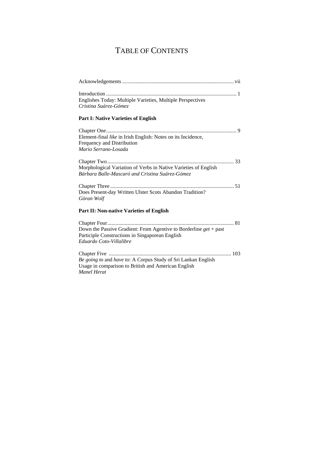# TABLE OF CONTENTS

| Englishes Today: Multiple Varieties, Multiple Perspectives<br>Cristina Suárez-Gómez                                                               |
|---------------------------------------------------------------------------------------------------------------------------------------------------|
| <b>Part I: Native Varieties of English</b>                                                                                                        |
| Element-final like in Irish English: Notes on its Incidence,<br>Frequency and Distribution<br>Mario Serrano-Losada                                |
| Morphological Variation of Verbs in Native Varieties of English<br>Bárbara Balle-Mascaró and Cristina Suárez-Gómez                                |
|                                                                                                                                                   |
| Does Present-day Written Ulster Scots Abandon Tradition?<br>Göran Wolf                                                                            |
| Part II: Non-native Varieties of English                                                                                                          |
| Down the Passive Gradient: From Agentive to Borderline $get + past$<br>Participle Constructions in Singaporean English<br>Eduardo Coto-Villalibre |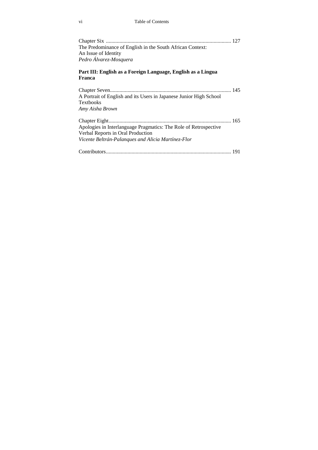| The Predominance of English in the South African Context:<br>An Issue of Identity<br>Pedro Álvarez-Mosquera                                                 |
|-------------------------------------------------------------------------------------------------------------------------------------------------------------|
| Part III: English as a Foreign Language, English as a Lingua<br>Franca                                                                                      |
| A Portrait of English and its Users in Japanese Junior High School<br><b>Textbooks</b><br>Amy Aisha Brown                                                   |
| Apologies in Interlanguage Pragmatics: The Role of Retrospective<br>Verbal Reports in Oral Production<br>Vicente Beltrán-Palanques and Alicia Martínez-Flor |
|                                                                                                                                                             |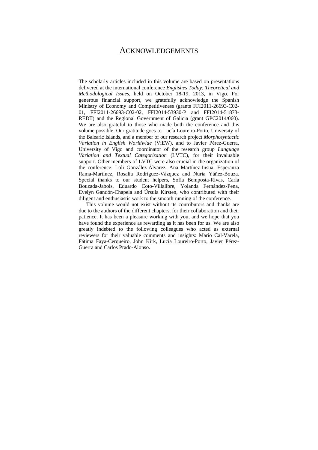### ACKNOWLEDGEMENTS

The scholarly articles included in this volume are based on presentations delivered at the international conference *Englishes Today: Theoretical and Methodological Issues*, held on October 18-19, 2013, in Vigo. For generous financial support, we gratefully acknowledge the Spanish Ministry of Economy and Competitiveness (grants FFI2011-26693-C02- 01, FFI2011-26693-C02-02, FFI2014-53930-P and FFI2014-51873- REDT) and the Regional Government of Galicia (grant GPC2014/060). We are also grateful to those who made both the conference and this volume possible. Our gratitude goes to Lucía Loureiro-Porto, University of the Balearic Islands, and a member of our research project *Morphosyntactic Variation in English Worldwide* (ViEW), and to Javier Pérez-Guerra, University of Vigo and coordinator of the research group *Language Variation and Textual Categorization* (LVTC), for their invaluable support. Other members of LVTC were also crucial in the organization of the conference: Loli González-Álvarez, Ana Martínez-Insua, Esperanza Rama-Martínez, Rosalía Rodríguez-Vázquez and Nuria Yáñez-Bouza. Special thanks to our student helpers, Sofía Bemposta-Rivas, Carla Bouzada-Jabois, Eduardo Coto-Villalibre, Yolanda Fernández-Pena, Evelyn Gandón-Chapela and Úrsula Kirsten, who contributed with their diligent and enthusiastic work to the smooth running of the conference.

This volume would not exist without its contributors and thanks are due to the authors of the different chapters, for their collaboration and their patience. It has been a pleasure working with you, and we hope that you have found the experience as rewarding as it has been for us. We are also greatly indebted to the following colleagues who acted as external reviewers for their valuable comments and insights: Mario Cal-Varela, Fátima Faya-Cerqueiro, John Kirk, Lucía Loureiro-Porto, Javier Pérez-Guerra and Carlos Prado-Alonso.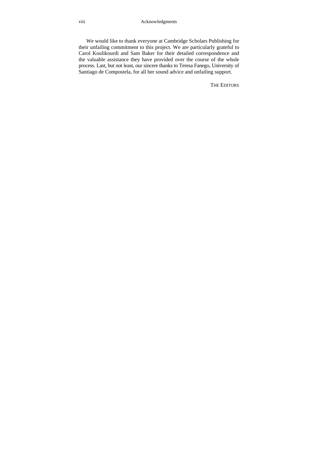We would like to thank everyone at Cambridge Scholars Publishing for their unfailing commitment to this project. We are particularly grateful to Carol Koulikourdi and Sam Baker for their detailed correspondence and the valuable assistance they have provided over the course of the whole process. Last, but not least, our sincere thanks to Teresa Fanego, University of Santiago de Compostela, for all her sound advice and unfailing support.

THE EDITORS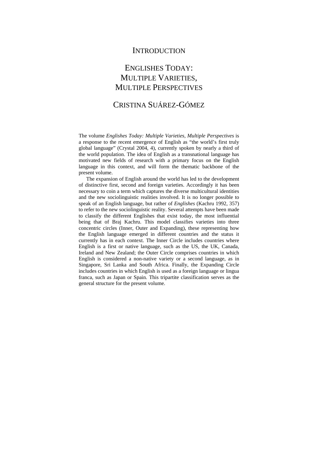### **INTRODUCTION**

## ENGLISHES TODAY: MULTIPLE VARIETIES, MULTIPLE PERSPECTIVES

### CRISTINA SUÁREZ-GÓMEZ

The volume *Englishes Today: Multiple Varieties, Multiple Perspectives* is a response to the recent emergence of English as "the world's first truly global language" (Crystal 2004, 4), currently spoken by nearly a third of the world population. The idea of English as a transnational language has motivated new fields of research with a primary focus on the English language in this context, and will form the thematic backbone of the present volume.

The expansion of English around the world has led to the development of distinctive first, second and foreign varieties. Accordingly it has been necessary to coin a term which captures the diverse multicultural identities and the new sociolinguistic realities involved. It is no longer possible to speak of an English language, but rather of *Englishes* (Kachru 1992, 357) to refer to the new sociolinguistic reality. Several attempts have been made to classify the different Englishes that exist today, the most influential being that of Braj Kachru. This model classifies varieties into three concentric circles (Inner, Outer and Expanding), these representing how the English language emerged in different countries and the status it currently has in each context. The Inner Circle includes countries where English is a first or native language, such as the US, the UK, Canada, Ireland and New Zealand; the Outer Circle comprises countries in which English is considered a non-native variety or a second language, as in Singapore, Sri Lanka and South Africa. Finally, the Expanding Circle includes countries in which English is used as a foreign language or lingua franca, such as Japan or Spain. This tripartite classification serves as the general structure for the present volume.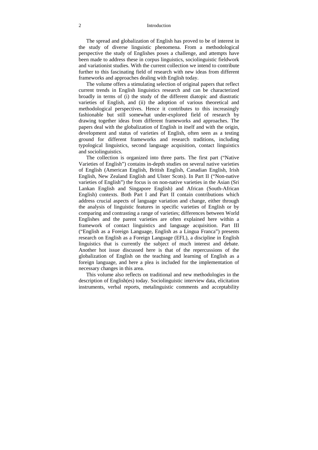#### 2 Introduction

The spread and globalization of English has proved to be of interest in the study of diverse linguistic phenomena. From a methodological perspective the study of Englishes poses a challenge, and attempts have been made to address these in corpus linguistics, sociolinguistic fieldwork and variationist studies. With the current collection we intend to contribute further to this fascinating field of research with new ideas from different frameworks and approaches dealing with English today.

The volume offers a stimulating selection of original papers that reflect current trends in English linguistics research and can be characterized broadly in terms of (i) the study of the different diatopic and diastratic varieties of English, and (ii) the adoption of various theoretical and methodological perspectives. Hence it contributes to this increasingly fashionable but still somewhat under-explored field of research by drawing together ideas from different frameworks and approaches. The papers deal with the globalization of English in itself and with the origin, development and status of varieties of English, often seen as a testing ground for different frameworks and research traditions, including typological linguistics, second language acquisition, contact linguistics and sociolinguistics.

The collection is organized into three parts. The first part ("Native Varieties of English") contains in-depth studies on several native varieties of English (American English, British English, Canadian English, Irish English, New Zealand English and Ulster Scots). In Part II ("Non-native varieties of English") the focus is on non-native varieties in the Asian (Sri Lankan English and Singapore English) and African (South-African English) contexts. Both Part I and Part II contain contributions which address crucial aspects of language variation and change, either through the analysis of linguistic features in specific varieties of English or by comparing and contrasting a range of varieties; differences between World Englishes and the parent varieties are often explained here within a framework of contact linguistics and language acquisition. Part III ("English as a Foreign Language, English as a Lingua Franca") presents research on English as a Foreign Language (EFL), a discipline in English linguistics that is currently the subject of much interest and debate. Another hot issue discussed here is that of the repercussions of the globalization of English on the teaching and learning of English as a foreign language, and here a plea is included for the implementation of necessary changes in this area.

This volume also reflects on traditional and new methodologies in the description of English(es) today. Sociolinguistic interview data, elicitation instruments, verbal reports, metalinguistic comments and acceptability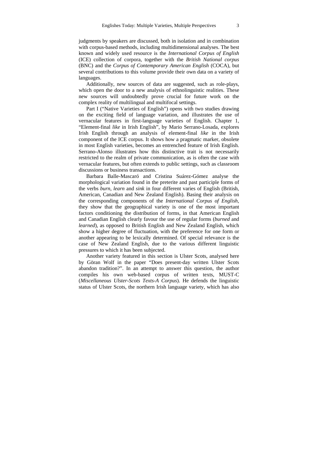judgments by speakers are discussed, both in isolation and in combination with corpus-based methods, including multidimensional analyses. The best known and widely used resource is the *International Corpus of English* (ICE) collection of corpora, together with the *British National corpus*  (BNC) and the *Corpus of Contemporary American English* (COCA), but several contributions to this volume provide their own data on a variety of languages.

Additionally, new sources of data are suggested, such as role-plays, which open the door to a new analysis of ethnolinguistic realities. These new sources will undoubtedly prove crucial for future work on the complex reality of multilingual and multifocal settings.

Part I ("Native Varieties of English") opens with two studies drawing on the exciting field of language variation, and illustrates the use of vernacular features in first-language varieties of English. Chapter 1, "Element-final *like* in Irish English", by Mario Serrano-Losada, explores Irish English through an analysis of element-final *like* in the Irish component of the ICE corpus. It shows how a pragmatic marker, obsolete in most English varieties, becomes an entrenched feature of Irish English. Serrano-Alonso illustrates how this distinctive trait is not necessarily restricted to the realm of private communication, as is often the case with vernacular features, but often extends to public settings, such as classroom discussions or business transactions.

Barbara Balle-Mascaró and Cristina Suárez-Gómez analyse the morphological variation found in the preterite and past participle forms of the verbs *burn*, *learn* and *sink* in four different varies of English (British, American, Canadian and New Zealand English). Basing their analysis on the corresponding components of the *International Corpus of English*, they show that the geographical variety is one of the most important factors conditioning the distribution of forms, in that American English and Canadian English clearly favour the use of regular forms (*burned* and *learned*), as opposed to British English and New Zealand English, which show a higher degree of fluctuation, with the preference for one form or another appearing to be lexically determined. Of special relevance is the case of New Zealand English, due to the various different linguistic pressures to which it has been subjected.

Another variety featured in this section is Ulster Scots, analysed here by Göran Wolf in the paper "Does present-day written Ulster Scots abandon tradition?". In an attempt to answer this question, the author compiles his own web-based corpus of written texts, MUST-C (*Miscellaneous Ulster-Scots Texts-A Corpus*). He defends the linguistic status of Ulster Scots, the northern Irish language variety, which has also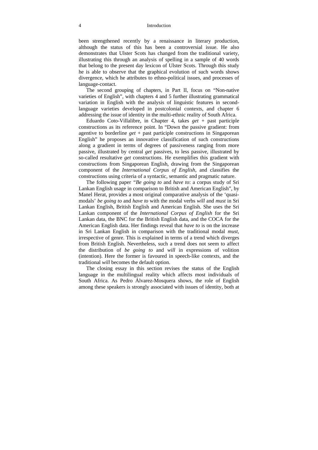#### 4 Introduction

been strengthened recently by a renaissance in literary production, although the status of this has been a controversial issue. He also demonstrates that Ulster Scots has changed from the traditional variety, illustrating this through an analysis of spelling in a sample of 40 words that belong to the present day lexicon of Ulster Scots. Through this study he is able to observe that the graphical evolution of such words shows divergence, which he attributes to ethno-political issues, and processes of language-contact.

The second grouping of chapters, in Part II, focus on "Non-native varieties of English", with chapters 4 and 5 further illustrating grammatical variation in English with the analysis of linguistic features in secondlanguage varieties developed in postcolonial contexts, and chapter 6 addressing the issue of identity in the multi-ethnic reality of South Africa.

Eduardo Coto-Villalibre, in Chapter 4, takes *get* + past participle constructions as its reference point. In "Down the passive gradient: from agentive to borderline *get* + past participle constructions in Singaporean English" he proposes an innovative classification of such constructions along a gradient in terms of degrees of passiveness ranging from more passive, illustrated by central *get* passives, to less passive, illustrated by so-called resultative *get* constructions. He exemplifies this gradient with constructions from Singaporean English, drawing from the Singaporean component of the *International Corpus of English*, and classifies the constructions using criteria of a syntactic, semantic and pragmatic nature.

The following paper *"Be going to* and *have to*: a corpus study of Sri Lankan English usage in comparison to British and American English", by Manel Herat, provides a most original comparative analysis of the 'quasimodals' *be going to* and *have to* with the modal verbs *will* and *must* in Sri Lankan English, British English and American English. She uses the Sri Lankan component of the *International Corpus of English* for the Sri Lankan data, the BNC for the British English data, and the COCA for the American English data. Her findings reveal that *have to* is on the increase in Sri Lankan English in comparison with the traditional modal *must*, irrespective of genre. This is explained in terms of a trend which diverges from British English. Nevertheless, such a trend does not seem to affect the distribution of *be going to* and *will* in expressions of volition (intention). Here the former is favoured in speech-like contexts, and the traditional *will* becomes the default option.

The closing essay in this section revises the status of the English language in the multilingual reality which affects most individuals of South Africa. As Pedro Álvarez-Mosquera shows, the role of English among these speakers is strongly associated with issues of identity, both at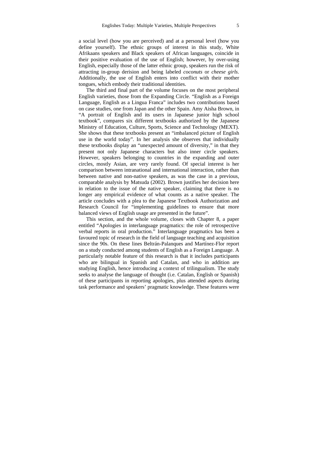a social level (how you are perceived) and at a personal level (how you define yourself). The ethnic groups of interest in this study, White Afrikaans speakers and Black speakers of African languages, coincide in their positive evaluation of the use of English; however, by over-using English, especially those of the latter ethnic group, speakers run the risk of attracting in-group derision and being labeled *coconuts* or *cheese girls*. Additionally, the use of English enters into conflict with their mother tongues, which embody their traditional identities.

The third and final part of the volume focuses on the most peripheral English varieties, those from the Expanding Circle. "English as a Foreign Language, English as a Lingua Franca" includes two contributions based on case studies, one from Japan and the other Spain. Amy Aisha Brown, in "A portrait of English and its users in Japanese junior high school textbook", compares six different textbooks authorized by the Japanese Ministry of Education, Culture, Sports, Science and Technology (MEXT). She shows that these textbooks present an "imbalanced picture of English use in the world today". In her analysis she observes that individually these textbooks display an "unexpected amount of diversity," in that they present not only Japanese characters but also inner circle speakers. However, speakers belonging to countries in the expanding and outer circles, mostly Asian, are very rarely found. Of special interest is her comparison between intranational and international interaction, rather than between native and non-native speakers, as was the case in a previous, comparable analysis by Matsuda (2002). Brown justifies her decision here in relation to the issue of the native speaker, claiming that there is no longer any empirical evidence of what counts as a native speaker. The article concludes with a plea to the Japanese Textbook Authorization and Research Council for "implementing guidelines to ensure that more balanced views of English usage are presented in the future".

This section, and the whole volume, closes with Chapter 8, a paper entitled "Apologies in interlanguage pragmatics: the role of retrospective verbal reports in oral production." Interlanguage pragmatics has been a favoured topic of research in the field of language teaching and acquisition since the 90s. On these lines Beltrán-Palanques and Martínez-Flor report on a study conducted among students of English as a Foreign Language. A particularly notable feature of this research is that it includes participants who are bilingual in Spanish and Catalan, and who in addition are studying English, hence introducing a context of trilingualism. The study seeks to analyse the language of thought (i.e. Catalan, English or Spanish) of these participants in reporting apologies, plus attended aspects during task performance and speakers' pragmatic knowledge. These features were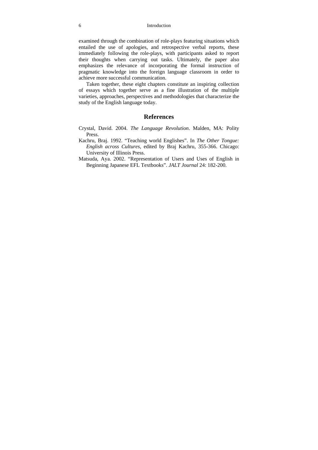examined through the combination of role-plays featuring situations which entailed the use of apologies, and retrospective verbal reports, these immediately following the role-plays, with participants asked to report their thoughts when carrying out tasks. Ultimately, the paper also emphasizes the relevance of incorporating the formal instruction of pragmatic knowledge into the foreign language classroom in order to achieve more successful communication.

Taken together, these eight chapters constitute an inspiring collection of essays which together serve as a fine illustration of the multiple varieties, approaches, perspectives and methodologies that characterize the study of the English language today.

### **References**

- Crystal, David. 2004. *The Language Revolution*. Malden, MA: Polity Press.
- Kachru, Braj. 1992. "Teaching world Englishes". In *The Other Tongue: English across Cultures*, edited by Braj Kachru, 355-366. Chicago: University of Illinois Press.
- Matsuda, Aya. 2002. "Representation of Users and Uses of English in Beginning Japanese EFL Textbooks". *JALT Journal* 24: 182-200.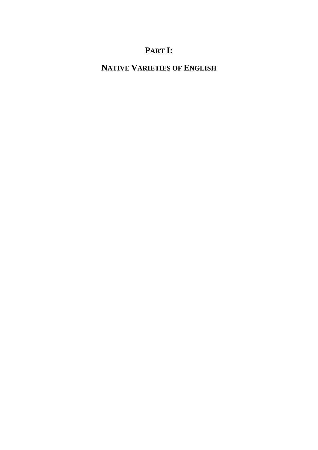# **PART I:**

# **NATIVE VARIETIES OF ENGLISH**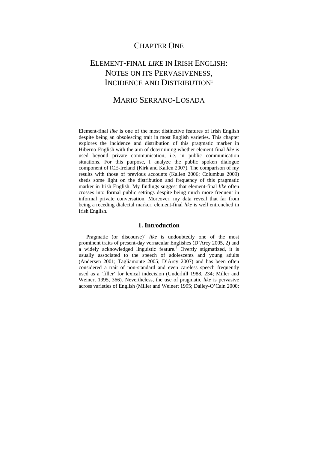### CHAPTER ONE

## ELEMENT-FINAL *LIKE* IN IRISH ENGLISH: NOTES ON ITS PERVASIVENESS, INCIDENCE AND DISTRIBUTION<sup>1</sup>

### MARIO SERRANO-LOSADA

Element-final *like* is one of the most distinctive features of Irish English despite being an obsolescing trait in most English varieties. This chapter explores the incidence and distribution of this pragmatic marker in Hiberno-English with the aim of determining whether element-final *like* is used beyond private communication, i.e. in public communication situations. For this purpose, I analyze the public spoken dialogue component of ICE-Ireland (Kirk and Kallen 2007). The comparison of my results with those of previous accounts (Kallen 2006; Columbus 2009) sheds some light on the distribution and frequency of this pragmatic marker in Irish English. My findings suggest that element-final *like* often crosses into formal public settings despite being much more frequent in informal private conversation. Moreover, my data reveal that far from being a receding dialectal marker, element-final *like* is well entrenched in Irish English.

### **1. Introduction**

Pragmatic (or discourse)<sup>2</sup> like is undoubtedly one of the most prominent traits of present-day vernacular Englishes (D'Arcy 2005, 2) and a widely acknowledged linguistic feature.<sup>3</sup> Overtly stigmatized, it is usually associated to the speech of adolescents and young adults (Andersen 2001; Tagliamonte 2005; D'Arcy 2007) and has been often considered a trait of non-standard and even careless speech frequently used as a 'filler' for lexical indecision (Underhill 1988, 234; Miller and Weinert 1995, 366). Nevertheless, the use of pragmatic *like* is pervasive across varieties of English (Miller and Weinert 1995; Dailey-O'Cain 2000;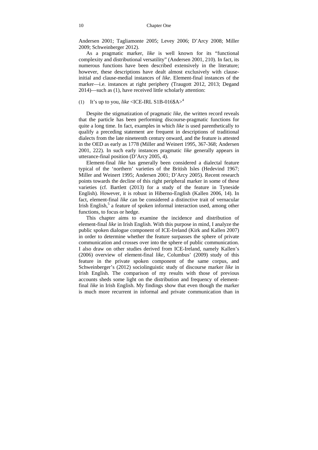Andersen 2001; Tagliamonte 2005; Levey 2006; D'Arcy 2008; Miller 2009; Schweinberger 2012).

As a pragmatic marker, *like* is well known for its "functional complexity and distributional versatility" (Andersen 2001, 210). In fact, its numerous functions have been described extensively in the literature; however, these descriptions have dealt almost exclusively with clauseinitial and clause-medial instances of *like*. Element-final instances of the marker—i.e. instances at right periphery (Traugott 2012, 2013; Degand 2014)—such as (1), have received little scholarly attention:

#### (1) It's up to you, *like* <ICE-IRL S1B-016\$A $>$ <sup>4</sup>

Despite the stigmatization of pragmatic *like*, the written record reveals that the particle has been performing discourse-pragmatic functions for quite a long time. In fact, examples in which *like* is used parenthetically to qualify a preceding statement are frequent in descriptions of traditional dialects from the late nineteenth century onward, and the feature is attested in the OED as early as 1778 (Miller and Weinert 1995, 367-368; Andersen 2001, 222). In such early instances pragmatic *like* generally appears in utterance-final position (D'Arcy 2005, 4).

Element-final *like* has generally been considered a dialectal feature typical of the 'northern' varieties of the British Isles (Hedevind 1967; Miller and Weinert 1995; Andersen 2001; D'Arcy 2005). Recent research points towards the decline of this right peripheral marker in some of these varieties (cf. Bartlett (2013) for a study of the feature in Tyneside English). However, it is robust in Hiberno-English (Kallen 2006, 14). In fact, element-final *like* can be considered a distinctive trait of vernacular Irish English,<sup>5</sup> a feature of spoken informal interaction used, among other functions, to focus or hedge.

This chapter aims to examine the incidence and distribution of element-final *like* in Irish English. With this purpose in mind, I analyze the public spoken dialogue component of ICE-Ireland (Kirk and Kallen 2007) in order to determine whether the feature surpasses the sphere of private communication and crosses over into the sphere of public communication. I also draw on other studies derived from ICE-Ireland, namely Kallen's (2006) overview of element-final *like,* Columbus' (2009) study of this feature in the private spoken component of the same corpus, and Schweinberger's (2012) sociolinguistic study of discourse marker *like* in Irish English. The comparison of my results with those of previous accounts sheds some light on the distribution and frequency of elementfinal *like* in Irish English. My findings show that even though the marker is much more recurrent in informal and private communication than in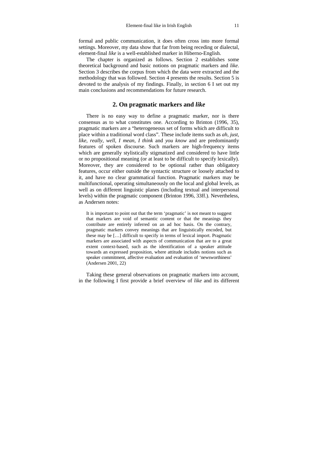formal and public communication, it does often cross into more formal settings. Moreover, my data show that far from being receding or dialectal, element-final *like* is a well-established marker in Hiberno-English.

The chapter is organized as follows. Section 2 establishes some theoretical background and basic notions on pragmatic markers and *like*. Section 3 describes the corpus from which the data were extracted and the methodology that was followed. Section 4 presents the results. Section 5 is devoted to the analysis of my findings. Finally, in section 6 I set out my main conclusions and recommendations for future research.

### **2. On pragmatic markers and** *like*

There is no easy way to define a pragmatic marker, nor is there consensus as to what constitutes one. According to Brinton (1996, 35), pragmatic markers are a "heterogeneous set of forms which are difficult to place within a traditional word class". These include items such as *ah*, *just*, *like*, *really*, *well*, *I mean*, *I think* and *you know* and are predominantly features of spoken discourse. Such markers are high-frequency items which are generally stylistically stigmatized and considered to have little or no propositional meaning (or at least to be difficult to specify lexically). Moreover, they are considered to be optional rather than obligatory features, occur either outside the syntactic structure or loosely attached to it, and have no clear grammatical function. Pragmatic markers may be multifunctional, operating simultaneously on the local and global levels, as well as on different linguistic planes (including textual and interpersonal levels) within the pragmatic component (Brinton 1996, 33ff.). Nevertheless, as Andersen notes:

It is important to point out that the term 'pragmatic' is not meant to suggest that markers are void of semantic content or that the meanings they contribute are entirely inferred on an ad hoc basis. On the contrary, pragmatic markers convey meanings that are linguistically encoded, but these may be […] difficult to specify in terms of lexical import. Pragmatic markers are associated with aspects of communication that are to a great extent context-based, such as the identification of a speaker attitude towards an expressed proposition, where attitude includes notions such as speaker commitment, affective evaluation and evaluation of 'newsworthiness' (Andersen 2001, 22)

Taking these general observations on pragmatic markers into account, in the following I first provide a brief overview of *like* and its different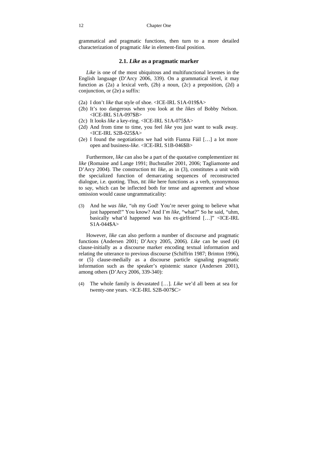grammatical and pragmatic functions, then turn to a more detailed characterization of pragmatic *like* in element-final position.

### **2.1.** *Like* **as a pragmatic marker**

*Like* is one of the most ubiquitous and multifunctional lexemes in the English language (D'Arcy 2006, 339). On a grammatical level, it may function as (2a) a lexical verb, (2b) a noun, (2c) a preposition, (2d) a conjunction, or (2e) a suffix:

- (2a) I don't *like* that style of shoe. <ICE-IRL S1A-019\$A>
- (2b) It's too dangerous when you look at the *likes* of Bobby Nelson. <ICE-IRL S1A-097\$B>
- (2c) It looks *like* a key-ring. <ICE-IRL S1A-075\$A>
- (2d) And from time to time, you feel *like* you just want to walk away. <ICE-IRL S2B-025\$A>
- (2e) I found the negotiations we had with Fianna Fáil […] a lot more open and business-*like.* <ICE-IRL S1B-046\$B>

Furthermore, *like* can also be a part of the quotative complementizer BE *like* (Romaine and Lange 1991; Buchstaller 2001, 2006; Tagliamonte and D'Arcy 2004). The construction BE *like*, as in (3), constitutes a unit with the specialized function of demarcating sequences of reconstructed dialogue, i.e. quoting. Thus, BE *like* here functions as a verb, synonymous to *say*, which can be inflected both for tense and agreement and whose omission would cause ungrammaticality:

(3) And he *was like*, "oh my God! You're never going to believe what just happened!" You know? And I'*m like*, "what?" So he said, "uhm, basically what'd happened was his ex-girlfriend […]" <ICE-IRL  $S1A-044$A>$ 

However, *like* can also perform a number of discourse and pragmatic functions (Andersen 2001; D'Arcy 2005, 2006). *Like* can be used (4) clause-initially as a discourse marker encoding textual information and relating the utterance to previous discourse (Schiffrin 1987; Brinton 1996), or (5) clause-medially as a discourse particle signaling pragmatic information such as the speaker's epistemic stance (Andersen 2001), among others (D'Arcy 2006, 339-340):

(4) The whole family is devastated […]. *Like* we'd all been at sea for twenty-one years. <ICE-IRL S2B-007\$C>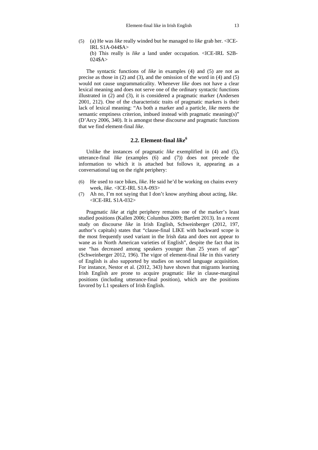(5) (a) He was *like* really winded but he managed to *like* grab her. <ICE-IRL S1A-044\$A> (b) This really is *like* a land under occupation. <ICE-IRL S2B- $024$A>$ 

The syntactic functions of *like* in examples (4) and (5) are not as precise as those in (2) and (3), and the omission of the word in (4) and (5) would not cause ungrammaticality. Whenever *like* does not have a clear lexical meaning and does not serve one of the ordinary syntactic functions illustrated in (2) and (3), it is considered a pragmatic marker (Andersen 2001, 212). One of the characteristic traits of pragmatic markers is their lack of lexical meaning: "As both a marker and a particle, *like* meets the semantic emptiness criterion, imbued instead with pragmatic meaning(s)" (D'Arcy 2006, 340). It is amongst these discourse and pragmatic functions that we find element-final *like*.

### **2.2. Element-final** *like***<sup>6</sup>**

Unlike the instances of pragmatic *like* exemplified in (4) and (5), utterance-final *like* (examples (6) and (7)) does not precede the information to which it is attached but follows it, appearing as a conversational tag on the right periphery:

- (6) He used to race bikes, *like*. He said he'd be working on chains every week, *like.* <ICE-IRL S1A-093>
- (7) Ah no, I'm not saying that I don't know anything about acting, *like.*  <ICE-IRL S1A-032>

Pragmatic *like* at right periphery remains one of the marker's least studied positions (Kallen 2006; Columbus 2009; Bartlett 2013). In a recent study on discourse *like* in Irish English, Schweinberger (2012, 197, author's capitals) states that "clause-final LIKE with backward scope is the most frequently used variant in the Irish data and does not appear to wane as in North American varieties of English", despite the fact that its use "has decreased among speakers younger than 25 years of age" (Schweinberger 2012, 196). The vigor of element-final *like* in this variety of English is also supported by studies on second language acquisition. For instance, Nestor et al. (2012, 343) have shown that migrants learning Irish English are prone to acquire pragmatic *like* in clause-marginal positions (including utterance-final position), which are the positions favored by L1 speakers of Irish English.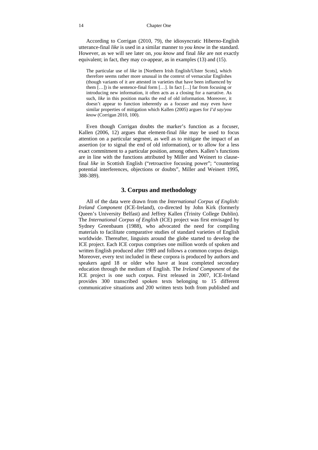#### 14 Chapter One

According to Corrigan (2010, 79), the idiosyncratic Hiberno-English utterance-final *like* is used in a similar manner to *you know* in the standard. However, as we will see later on, *you know* and final *like* are not exactly equivalent; in fact, they may co-appear, as in examples (13) and (15).

The particular use of *like* in [Northern Irish English/Ulster Scots], which therefore seems rather more unusual in the context of vernacular Englishes (though variants of it are attested in varieties that have been influenced by them  $[...]$  is the sentence-final form  $[...]$ . In fact  $[...]$  far from focusing or introducing new information, it often acts as a closing for a narrative. As such, *like* in this position marks the end of old information. Moreover, it doesn't appear to function inherently as a focuser and may even have similar properties of mitigation which Kallen (2005) argues for *I'd say/you know* (Corrigan 2010, 100).

Even though Corrigan doubts the marker's function as a focuser, Kallen (2006, 12) argues that element-final *like* may be used to focus attention on a particular segment, as well as to mitigate the impact of an assertion (or to signal the end of old information), or to allow for a less exact commitment to a particular position, among others. Kallen's functions are in line with the functions attributed by Miller and Weinert to clausefinal *like* in Scottish English ("retroactive focusing power"; "countering potential interferences, objections or doubts", Miller and Weinert 1995, 388-389).

### **3. Corpus and methodology**

All of the data were drawn from the *International Corpus of English: Ireland Component* (ICE-Ireland), co-directed by John Kirk (formerly Queen's University Belfast) and Jeffrey Kallen (Trinity College Dublin). The *International Corpus of English* (ICE) project was first envisaged by Sydney Greenbaum (1988), who advocated the need for compiling materials to facilitate comparative studies of standard varieties of English worldwide. Thereafter, linguists around the globe started to develop the ICE project. Each ICE corpus comprises one million words of spoken and written English produced after 1989 and follows a common corpus design. Moreover, every text included in these corpora is produced by authors and speakers aged 18 or older who have at least completed secondary education through the medium of English. The *Ireland Component* of the ICE project is one such corpus. First released in 2007, ICE-Ireland provides 300 transcribed spoken texts belonging to 15 different communicative situations and 200 written texts both from published and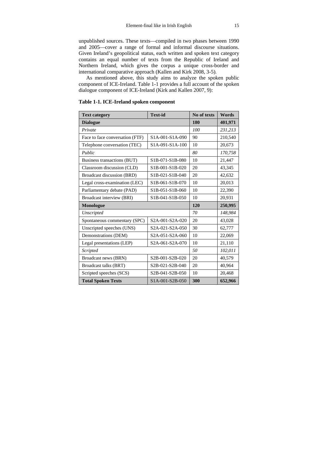unpublished sources. These texts—compiled in two phases between 1990 and 2005—cover a range of formal and informal discourse situations. Given Ireland's geopolitical status, each written and spoken text category contains an equal number of texts from the Republic of Ireland and Northern Ireland, which gives the corpus a unique cross-border and international comparative approach (Kallen and Kirk 2008, 3-5).

As mentioned above, this study aims to analyze the spoken public component of ICE-Ireland. Table 1-1 provides a full account of the spoken dialogue component of ICE-Ireland (Kirk and Kallen 2007, 9):

| <b>Text category</b>                       | <b>Text-id</b>                                                     | No of texts | Words   |
|--------------------------------------------|--------------------------------------------------------------------|-------------|---------|
| <b>Dialogue</b>                            | 180                                                                | 401,971     |         |
| Private                                    |                                                                    | 100         | 231,213 |
| Face to face conversation (FTF)            | S <sub>1</sub> A <sub>-001</sub> -S <sub>1</sub> A <sub>-090</sub> | 90          | 210,540 |
| Telephone conversation (TEC)               | S1A-091-S1A-100                                                    | 10          | 20,673  |
| Public                                     |                                                                    | 80          | 170,758 |
| Business transactions (BUT)                | S1B-071-S1B-080                                                    | 10          | 21,447  |
| Classroom discussion (CLD)                 | S1B-001-S1B-020                                                    | 20          | 43,345  |
| Broadcast discussion (BRD)                 | S1B-021-S1B-040                                                    | 20          | 42,632  |
| Legal cross-examination (LEC)              | S1B-061-S1B-070                                                    | 10          | 20,013  |
| Parliamentary debate (PAD)                 | S1B-051-S1B-060                                                    | 10          | 22,390  |
| Broadcast interview (BRI)                  | S1B-041-S1B-050                                                    | 10          | 20,931  |
| Monologue                                  | 120                                                                | 250,995     |         |
| Unscripted                                 |                                                                    | 70          | 148,984 |
| Spontaneous commentary (SPC)               | S2A-001-S2A-020                                                    | 20          | 43,028  |
| Unscripted speeches (UNS)                  | S <sub>2</sub> A-021-S <sub>2</sub> A-050                          | 30          | 62,777  |
| Demonstrations (DEM)                       | S <sub>2</sub> A <sub>-051</sub> -S <sub>2</sub> A <sub>-060</sub> | 10          | 22,069  |
| Legal presentations (LEP)                  | S <sub>2</sub> A-061-S <sub>2</sub> A-070                          | 10          | 21,110  |
| Scripted                                   | 50                                                                 | 102,011     |         |
| Broadcast news (BRN)                       | S2B-001-S2B-020                                                    | 20          | 40,579  |
| Broadcast talks (BRT)                      | S2B-021-S2B-040                                                    | 20          | 40,964  |
| Scripted speeches (SCS)<br>S2B-041-S2B-050 |                                                                    | 10          | 20,468  |
| <b>Total Spoken Texts</b>                  | S1A-001-S2B-050                                                    | 300         | 652,966 |

**Table 1-1. ICE-Ireland spoken component**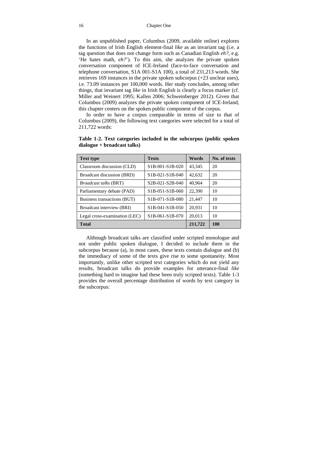In an unpublished paper, Columbus (2009, available online) explores the functions of Irish English element-final *like* as an invariant tag (i.e. a tag question that does not change form such as Canadian English *eh?*, e.g. 'He hates math, *eh?*'). To this aim, she analyzes the private spoken conversation component of ICE-Ireland (face-to-face conversation and telephone conversation, S1A 001-S1A 100), a total of 231,213 words. She retrieves 169 instances in the private spoken subcorpus (+23 unclear uses), i.e. 73.09 instances per 100,000 words. Her study concludes, among other things, that invariant tag *like* in Irish English is clearly a focus marker (cf. Miller and Weinert 1995; Kallen 2006; Schweinberger 2012). Given that Columbus (2009) analyzes the private spoken component of ICE-Ireland, this chapter centers on the spoken public component of the corpus.

In order to have a corpus comparable in terms of size to that of Columbus (2009), the following text categories were selected for a total of 211,722 words:

| <b>Text type</b>              | <b>Texts</b>                                                       | Words   | No. of texts |
|-------------------------------|--------------------------------------------------------------------|---------|--------------|
| Classroom discussion (CLD)    | S <sub>1</sub> B-001-S <sub>1</sub> B-020                          | 43,345  | 20           |
| Broadcast discussion (BRD)    | S <sub>1</sub> B-021-S <sub>1</sub> B-040                          | 42,632  | 20           |
| <i>Broadcast talks</i> (BRT)  | S <sub>2</sub> B-0 <sub>21</sub> -S <sub>2</sub> B-0 <sub>40</sub> | 40,964  | 20           |
| Parliamentary debate (PAD)    | S <sub>1</sub> B-051-S <sub>1</sub> B-060                          | 22,390  | 10           |
| Business transactions (BUT)   | S1B-071-S1B-080                                                    | 21,447  | 10           |
| Broadcast interview (BRI)     | S <sub>1</sub> B-041-S <sub>1</sub> B-050                          | 20,931  | 10           |
| Legal cross-examination (LEC) | S <sub>1</sub> B-061-S <sub>1</sub> B-070                          | 20.013  | 10           |
| <b>Total</b>                  |                                                                    | 211,722 | 100          |

**Table 1-2. Text categories included in the subcorpus (public spoken dialogue + broadcast talks)** 

Although broadcast talks are classified under scripted monologue and not under public spoken dialogue, I decided to include them in the subcorpus because (a), in most cases, these texts contain dialogue and (b) the immediacy of some of the texts give rise to some spontaneity. Most importantly, unlike other scripted text categories which do not yield any results, broadcast talks do provide examples for utterance-final *like* (something hard to imagine had these been truly scripted texts). Table 1-3 provides the overall percentage distribution of words by text category in the subcorpus: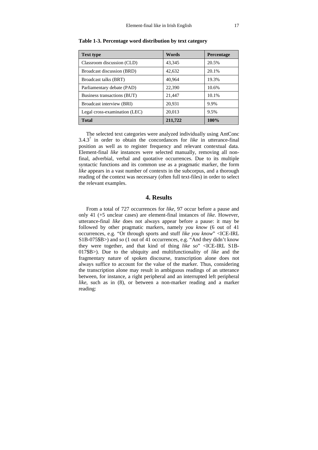| <b>Text type</b>              | Words   | <b>Percentage</b> |
|-------------------------------|---------|-------------------|
| Classroom discussion (CLD)    | 43,345  | 20.5%             |
| Broadcast discussion (BRD)    | 42,632  | 20.1%             |
| Broadcast talks (BRT)         | 40,964  | 19.3%             |
| Parliamentary debate (PAD)    | 22,390  | 10.6%             |
| Business transactions (BUT)   | 21,447  | 10.1%             |
| Broadcast interview (BRI)     | 20,931  | 9.9%              |
| Legal cross-examination (LEC) | 20,013  | 9.5%              |
| <b>Total</b>                  | 211,722 | 100%              |

**Table 1-3. Percentage word distribution by text category** 

The selected text categories were analyzed individually using AntConc  $3.4.3<sup>7</sup>$  in order to obtain the concordances for *like* in utterance-final position as well as to register frequency and relevant contextual data. Element-final *like* instances were selected manually, removing all nonfinal, adverbial, verbal and quotative occurrences. Due to its multiple syntactic functions and its common use as a pragmatic marker, the form *like* appears in a vast number of contexts in the subcorpus, and a thorough reading of the context was necessary (often full text-files) in order to select the relevant examples.

### **4. Results**

From a total of 727 occurrences for *like*, 97 occur before a pause and only 41 (+5 unclear cases) are element-final instances of *like*. However, utterance-final *like* does not always appear before a pause: it may be followed by other pragmatic markers, namely *you know* (6 out of 41 occurrences, e.g. "Or through sports and stuff *like you know*" <ICE-IRL S1B-075\$B>) and *so* (1 out of 41 occurrences, e.g. "And they didn't know they were together, and that kind of thing *like so*" <ICE-IRL S1B-017\$B>). Due to the ubiquity and multifunctionality of *like* and the fragmentary nature of spoken discourse, transcription alone does not always suffice to account for the value of the marker. Thus, considering the transcription alone may result in ambiguous readings of an utterance between, for instance, a right peripheral and an interrupted left peripheral *like*, such as in (8), or between a non-marker reading and a marker reading: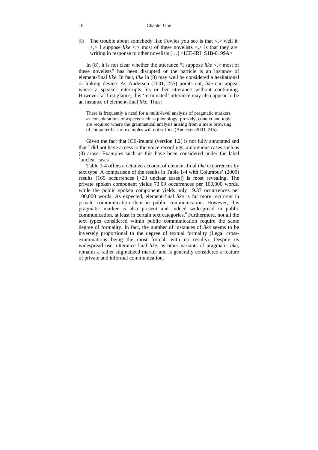#### 18 Chapter One

(8) The trouble about somebody like Fowles you see is that  $\langle \rangle$  well it  $\langle \rangle$  I suppose *like*  $\langle \rangle$  most of these novelists  $\langle \rangle$  is that they are writing in response to other novelists […] <ICE-IRL S1B-019\$A>

In (8), it is not clear whether the utterance "I suppose *like*  $\langle \rangle$  most of these novelists" has been disrupted or the particle is an instance of element-final *like*. In fact, *like* in (8) may well be considered a hesitational or linking device. As Andersen (2001, 255) points out, *like* can appear where a speaker interrupts his or her utterance without continuing. However, at first glance, this 'terminated' utterance may also appear to be an instance of element-final *like*. Thus:

There is frequently a need for a multi-level analysis of pragmatic markers, as considerations of aspects such as phonology, prosody, context and topic are required where the grammatical analysis arising from a mere browsing of computer lists of examples will not suffice (Andersen 2001, 215).

Given the fact that ICE-Ireland (version 1.2) is not fully annotated and that I did not have access to the voice recordings, ambiguous cases such as (8) arose. Examples such as this have been considered under the label 'unclear cases'.

Table 1-4 offers a detailed account of element-final *like* occurrences by text type. A comparison of the results in Table 1-4 with Columbus' (2009) results (169 occurrences [+23 unclear cases]) is most revealing. The private spoken component yields 73.09 occurrences per 100,000 words, while the public spoken component yields only 19.37 occurrences per 100,000 words. As expected, element-final *like* is far more recurrent in private communication than in public communication. However, this pragmatic marker is also present and indeed widespread in public communication, at least in certain text categories.<sup>8</sup> Furthermore, not all the text types considered within public communication require the same degree of formality. In fact, the number of instances of *like* seems to be inversely proportional to the degree of textual formality (Legal crossexaminations being the most formal, with no results). Despite its widespread use, utterance-final *like*, as other variants of pragmatic *like*, remains a rather stigmatized marker and is generally considered a feature of private and informal communication.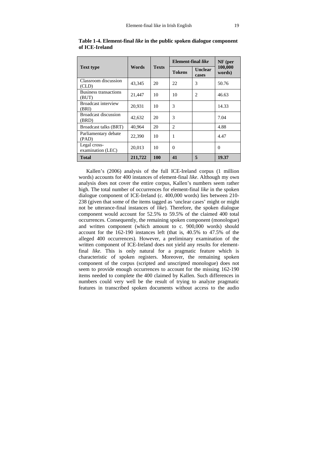|                                       |         | <b>Texts</b> | Element-final like | $NF$ (per                                                                                                                                                                                                                                                                                                                                                                                                   |                   |
|---------------------------------------|---------|--------------|--------------------|-------------------------------------------------------------------------------------------------------------------------------------------------------------------------------------------------------------------------------------------------------------------------------------------------------------------------------------------------------------------------------------------------------------|-------------------|
| <b>Text type</b>                      | Words   |              | <b>Tokens</b>      | <b>Unclear</b><br>cases                                                                                                                                                                                                                                                                                                                                                                                     | 100,000<br>words) |
| Classroom discussion<br>(CLD)         | 43,345  | 20           | 22                 | 3                                                                                                                                                                                                                                                                                                                                                                                                           | 50.76             |
| <b>Business transactions</b><br>(BUT) | 21,447  | 10           | 10                 | $\mathfrak{D}_{1}^{(1)} = \mathfrak{D}_{2}^{(1)} = \mathfrak{D}_{2}^{(1)} = \mathfrak{D}_{2}^{(1)} = \mathfrak{D}_{2}^{(1)} = \mathfrak{D}_{2}^{(1)} = \mathfrak{D}_{2}^{(1)} = \mathfrak{D}_{2}^{(1)} = \mathfrak{D}_{2}^{(1)} = \mathfrak{D}_{2}^{(1)} = \mathfrak{D}_{2}^{(1)} = \mathfrak{D}_{2}^{(1)} = \mathfrak{D}_{2}^{(1)} = \mathfrak{D}_{2}^{(1)} = \mathfrak{D}_{2}^{(1)} = \mathfrak{D}_{2}^{$ | 46.63             |
| Broadcast interview<br>(BRI)          | 20,931  | 10           | 3                  |                                                                                                                                                                                                                                                                                                                                                                                                             | 14.33             |
| <b>Broadcast discussion</b><br>(BRD)  | 42,632  | 20           | 3                  |                                                                                                                                                                                                                                                                                                                                                                                                             | 7.04              |
| Broadcast talks (BRT)                 | 40,964  | 20           | $\mathfrak{D}$     |                                                                                                                                                                                                                                                                                                                                                                                                             | 4.88              |
| Parliamentary debate<br>(PAD)         | 22,390  | 10           |                    |                                                                                                                                                                                                                                                                                                                                                                                                             | 4.47              |
| Legal cross-<br>examination (LEC)     | 20,013  | 10           | $\Omega$           |                                                                                                                                                                                                                                                                                                                                                                                                             | $\Omega$          |
| <b>Total</b>                          | 211,722 | <b>100</b>   | 41                 | 5                                                                                                                                                                                                                                                                                                                                                                                                           | 19.37             |

|                |  | Table 1-4. Element-final <i>like</i> in the public spoken dialogue component |  |
|----------------|--|------------------------------------------------------------------------------|--|
| of ICE-Ireland |  |                                                                              |  |

Kallen's (2006) analysis of the full ICE-Ireland corpus (1 million words) accounts for 400 instances of element-final *like*. Although my own analysis does not cover the entire corpus, Kallen's numbers seem rather high. The total number of occurrences for element-final *like* in the spoken dialogue component of ICE-Ireland (c. 400,000 words) lies between 210- 238 (given that some of the items tagged as 'unclear cases' might or might not be utterance-final instances of *like*). Therefore, the spoken dialogue component would account for 52.5% to 59.5% of the claimed 400 total occurrences. Consequently, the remaining spoken component (monologue) and written component (which amount to c. 900,000 words) should account for the 162-190 instances left (that is, 40.5% to 47.5% of the alleged 400 occurrences). However, a preliminary examination of the written component of ICE-Ireland does not yield any results for elementfinal *like*. This is only natural for a pragmatic feature which is characteristic of spoken registers. Moreover, the remaining spoken component of the corpus (scripted and unscripted monologue) does not seem to provide enough occurrences to account for the missing 162-190 items needed to complete the 400 claimed by Kallen. Such differences in numbers could very well be the result of trying to analyze pragmatic features in transcribed spoken documents without access to the audio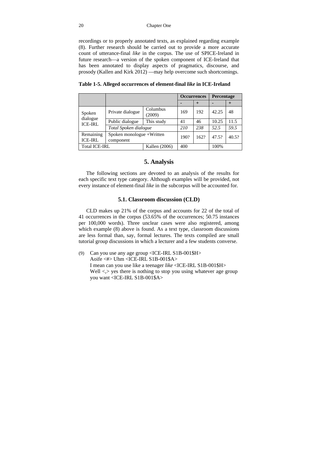recordings or to properly annotated texts, as explained regarding example (8). Further research should be carried out to provide a more accurate count of utterance-final *like* in the corpus. The use of SPICE-Ireland in future research—a version of the spoken component of ICE*-*Ireland that has been annotated to display aspects of pragmatics, discourse, and prosody (Kallen and Kirk 2012) —may help overcome such shortcomings.

|                                      |                                        |                    | <b>Occurrences</b> |      | Percentage |       |
|--------------------------------------|----------------------------------------|--------------------|--------------------|------|------------|-------|
|                                      |                                        |                    |                    |      |            | +     |
| Spoken<br>dialogue<br><b>ICE-IRL</b> | Private dialogue                       | Columbus<br>(2009) | 169                | 192  | 42.25      | 48    |
|                                      | Public dialogue                        | This study         | 41                 | 46   | 10.25      | 11.5  |
|                                      | Total Spoken dialogue                  |                    | 210                | 238  | 52.5       | 59.5  |
| Remaining<br><b>ICE-IRL</b>          | Spoken monologue +Written<br>component |                    | 190?               | 162? | 47.5?      | 40.5? |

**Table 1-5. Alleged occurrences of element-final** *like* **in ICE-Ireland** 

### **5. Analysis**

Total ICE-IRL Kallen (2006) | 400 | 100%

The following sections are devoted to an analysis of the results for each specific text type category. Although examples will be provided, not every instance of element-final *like* in the subcorpus will be accounted for.

### **5.1. Classroom discussion (CLD)**

CLD makes up 21% of the corpus and accounts for 22 of the total of 41 occurrences in the corpus (53.65% of the occurrences; 50.75 instances per 100,000 words). Three unclear cases were also registered, among which example (8) above is found. As a text type, classroom discussions are less formal than, say, formal lectures. The texts compiled are small tutorial group discussions in which a lecturer and a few students converse.

(9) Can you use any age group <ICE-IRL S1B-001\$H> Aoife <#> Uhm <ICE-IRL S1B-001\$A> I mean can you use like a teenager *like* <ICE-IRL S1B-001\$H> Well  $\le$  yes there is nothing to stop you using whatever age group you want <ICE-IRL S1B-001\$A>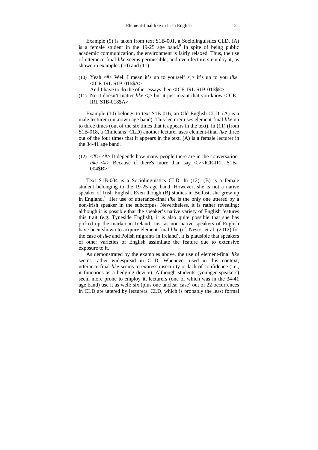Example (9) is taken from text S1B-001, a Sociolinguistics CLD. (A) is a female student in the  $19-25$  age band.<sup>9</sup> In spite of being public academic communication, the environment is fairly relaxed. Thus, the use of utterance-final *like* seems permissible, and even lecturers employ it, as shown in examples (10) and (11):

(10) Yeah <#> Well I mean it's up to yourself <,> it's up to you *like*  <ICE-IRL S1B-016\$A>

And I have to do the other essays then <ICE-IRL S1B-016\$E>

(11) No it doesn't matter *like*  $\langle \rangle$  but it just meant that you know  $\langle$ ICE-IRL S1B-018\$A>

Example (10) belongs to text S1B-016, an Old English CLD. (A) is a male lecturer (unknown age band). This lecturer uses element-final *like* up to three times (out of the six times that it appears in the text). In (11) (from S1B-018, a Clinicians' CLD) another lecturer uses element-final *like* three out of the four times that it appears in the text. (A) is a female lecturer in the 34-41 age band.

(12)  $\langle X \rangle \langle 2 \rangle$  It depends how many people there are in the conversation *like*  $\lt \#$  Because if there's more than say  $\lt$  >  $\lt$ ICE-IRL S1B-004\$B>

Text S1B-004 is a Sociolinguistics CLD. In (12), (B) is a female student belonging to the 19-25 age band. However, she is not a native speaker of Irish English. Even though (B) studies in Belfast, she grew up in England.10 Her use of utterance-final *like* is the only one uttered by a non-Irish speaker in the subcorpus. Nevertheless, it is rather revealing: although it is possible that the speaker's native variety of English features this trait (e.g. Tyneside English), it is also quite possible that she has picked up the marker in Ireland. Just as non-native speakers of English have been shown to acquire element-final *like* (cf. Nestor et al. (2012) for the case of *like* and Polish migrants in Ireland), it is plausible that speakers of other varieties of English assimilate the feature due to extensive exposure to it.

As demonstrated by the examples above, the use of element-final *like* seems rather widespread in CLD. Whenever used in this context, utterance-final *like* seems to express insecurity or lack of confidence (i.e., it functions as a hedging device). Although students (younger speakers) seem more prone to employ it, lecturers (one of which was in the 34-41 age band) use it as well: six (plus one unclear case) out of 22 occurrences in CLD are uttered by lecturers. CLD, which is probably the least formal